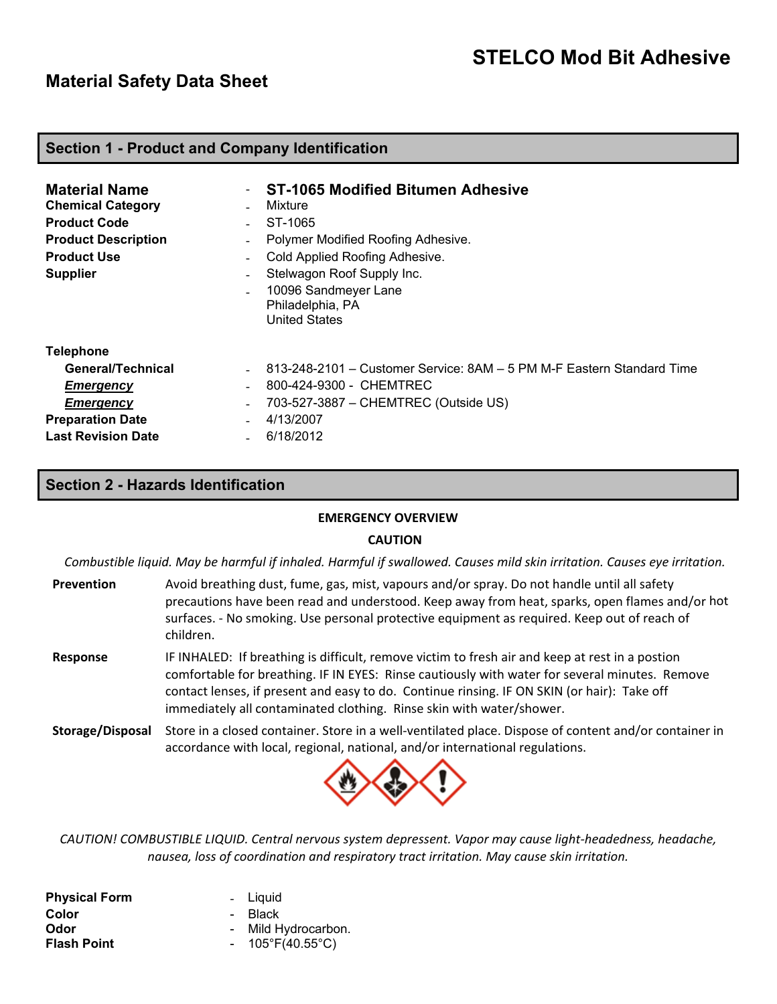# **Material Safety Data Sheet**

#### **Section 1 - Product and Company Identification**

| <b>Material Name</b><br><b>Chemical Category</b><br><b>Product Code</b><br><b>Product Description</b><br><b>Product Use</b><br><b>Supplier</b> | $\overline{\phantom{a}}$<br>$\blacksquare$<br>$\overline{\phantom{a}}$<br>$\overline{\phantom{a}}$<br>$\overline{\phantom{a}}$<br>$\overline{\phantom{a}}$ | <b>ST-1065 Modified Bitumen Adhesive</b><br>Mixture<br>ST-1065<br>Polymer Modified Roofing Adhesive.<br>Cold Applied Roofing Adhesive.<br>Stelwagon Roof Supply Inc.<br>10096 Sandmeyer Lane<br>Philadelphia, PA<br><b>United States</b> |
|------------------------------------------------------------------------------------------------------------------------------------------------|------------------------------------------------------------------------------------------------------------------------------------------------------------|------------------------------------------------------------------------------------------------------------------------------------------------------------------------------------------------------------------------------------------|
| <b>Telephone</b>                                                                                                                               |                                                                                                                                                            |                                                                                                                                                                                                                                          |
| General/Technical                                                                                                                              |                                                                                                                                                            | 813-248-2101 – Customer Service: 8AM – 5 PM M-F Eastern Standard Time                                                                                                                                                                    |
| <b>Emergency</b>                                                                                                                               |                                                                                                                                                            | 800-424-9300 - CHEMTREC                                                                                                                                                                                                                  |
| <b>Emergency</b>                                                                                                                               | $\overline{\phantom{a}}$                                                                                                                                   | 703-527-3887 - CHEMTREC (Outside US)                                                                                                                                                                                                     |
| <b>Preparation Date</b>                                                                                                                        | $\overline{\phantom{a}}$                                                                                                                                   | 4/13/2007                                                                                                                                                                                                                                |
| <b>Last Revision Date</b>                                                                                                                      |                                                                                                                                                            | 6/18/2012                                                                                                                                                                                                                                |

# **Section 2 - Hazards Identification**

#### **EMERGENCY OVERVIEW**

#### **CAUTION**

Combustible liquid. May be harmful if inhaled. Harmful if swallowed. Causes mild skin irritation. Causes eye irritation.

- **Prevention** Avoid breathing dust, fume, gas, mist, vapours and/or spray. Do not handle until all safety precautions have been read and understood. Keep away from heat, sparks, open flames and/or hot surfaces. ‐ No smoking. Use personal protective equipment as required. Keep out of reach of children.
- **Response** IF INHALED: If breathing is difficult, remove victim to fresh air and keep at rest in a postion comfortable for breathing. IF IN EYES: Rinse cautiously with water for several minutes. Remove contact lenses, if present and easy to do. Continue rinsing. IF ON SKIN (or hair): Take off immediately all contaminated clothing. Rinse skin with water/shower.
- **Storage/Disposal** Store in a closed container. Store in a well‐ventilated place. Dispose of content and/or container in accordance with local, regional, national, and/or international regulations.



*CAUTION! COMBUSTIBLE LIQUID. Central nervous system depressent. Vapor may cause light‐headedness, headache, nausea, loss of coordination and respiratory tract irritation. May cause skin irritation.*

| <b>Physical Form</b> | - Liquid                         |
|----------------------|----------------------------------|
| Color                | - Black                          |
| Odor                 | - Mild Hydrocarbon.              |
| <b>Flash Point</b>   | - $105^{\circ}F(40.55^{\circ}C)$ |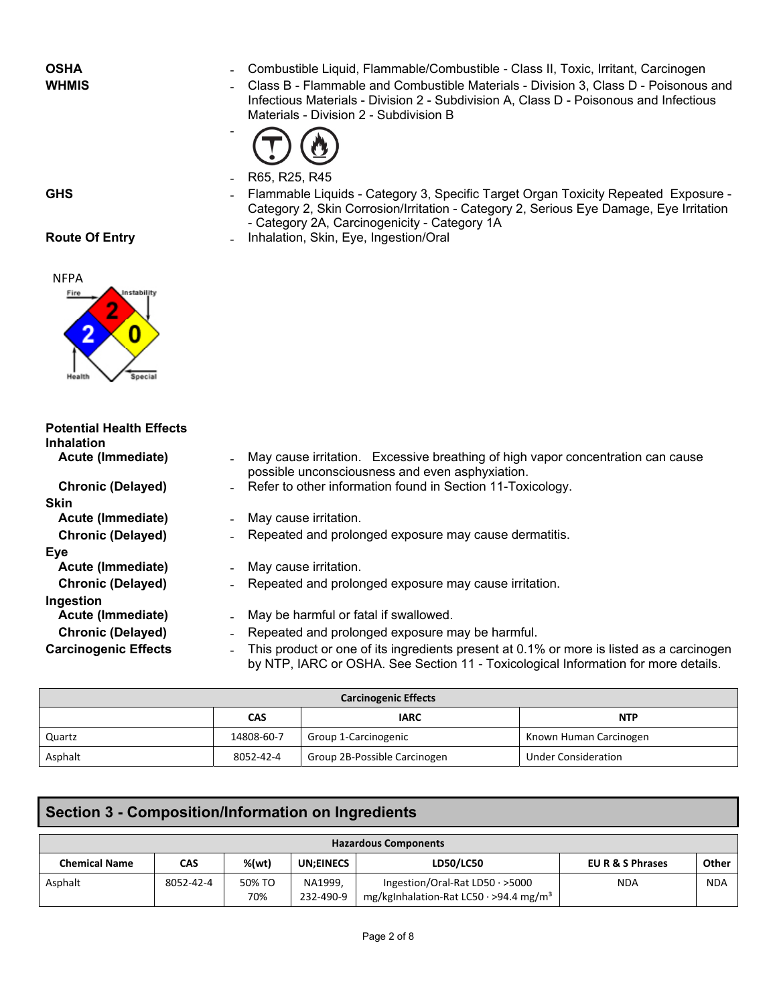**OSHA Example 2** - Combustible Liquid, Flammable/Combustible - Class II, Toxic, Irritant, Carcinogen<br>**WHMIS Example 2** - Class B - Flammable and Combustible Materials - Division 3. Class D - Poisonous - Class B - Flammable and Combustible Materials - Division 3, Class D - Poisonous and Infectious Materials - Division 2 - Subdivision A, Class D - Poisonous and Infectious Materials - Division 2 - Subdivision B



‐ R65, R25, R45

- 
- GHS **GHS Exposure** Flammable Liquids Category 3, Specific Target Organ Toxicity Repeated Exposure -Category 2, Skin Corrosion/Irritation - Category 2, Serious Eye Damage, Eye Irritation - Category 2A, Carcinogenicity - Category 1A
- **Route Of Entry <b>Entry Figure 2 Inhalation, Skin, Eye, Ingestion/Oral**



**Experimental Contract Contract of Seconds** 

| <b>Potential Health Effects</b><br><b>Inhalation</b> |                                                                                                                                                                                |
|------------------------------------------------------|--------------------------------------------------------------------------------------------------------------------------------------------------------------------------------|
| Acute (Immediate)                                    | - May cause irritation. Excessive breathing of high vapor concentration can cause<br>possible unconsciousness and even asphyxiation.                                           |
| <b>Chronic (Delayed)</b>                             | - Refer to other information found in Section 11-Toxicology.                                                                                                                   |
| <b>Skin</b>                                          |                                                                                                                                                                                |
| Acute (Immediate)<br>$\overline{\phantom{0}}$        | May cause irritation.                                                                                                                                                          |
| <b>Chronic (Delayed)</b>                             | Repeated and prolonged exposure may cause dermatitis.                                                                                                                          |
| Eye                                                  |                                                                                                                                                                                |
| Acute (Immediate)<br>$\blacksquare$                  | May cause irritation.                                                                                                                                                          |
| <b>Chronic (Delayed)</b>                             | Repeated and prolonged exposure may cause irritation.                                                                                                                          |
| Ingestion                                            |                                                                                                                                                                                |
| Acute (Immediate)<br>$\overline{\phantom{a}}$        | May be harmful or fatal if swallowed.                                                                                                                                          |
| <b>Chronic (Delayed)</b><br>$\blacksquare$           | Repeated and prolonged exposure may be harmful.                                                                                                                                |
| <b>Carcinogenic Effects</b><br>$\blacksquare$        | This product or one of its ingredients present at 0.1% or more is listed as a carcinogen<br>by NTP, IARC or OSHA. See Section 11 - Toxicological Information for more details. |

| <b>Carcinogenic Effects</b> |            |                              |                            |  |  |
|-----------------------------|------------|------------------------------|----------------------------|--|--|
|                             | CAS        | <b>IARC</b>                  | <b>NTP</b>                 |  |  |
| Quartz                      | 14808-60-7 | Group 1-Carcinogenic         | Known Human Carcinogen     |  |  |
| Asphalt                     | 8052-42-4  | Group 2B-Possible Carcinogen | <b>Under Consideration</b> |  |  |

# **Section 3 - Composition/Information on Ingredients**

| <b>Hazardous Components</b> |           |               |                      |                                                                                             |                  |            |
|-----------------------------|-----------|---------------|----------------------|---------------------------------------------------------------------------------------------|------------------|------------|
| <b>Chemical Name</b>        | CAS       | %(wt)         | <b>UN:EINECS</b>     | <b>LD50/LC50</b>                                                                            | EU R & S Phrases | Other      |
| Asphalt                     | 8052-42-4 | 50% TO<br>70% | NA1999.<br>232-490-9 | Ingestion/Oral-Rat LD50 $\cdot$ >5000<br>mg/kgInhalation-Rat LC50 · >94.4 mg/m <sup>3</sup> | <b>NDA</b>       | <b>NDA</b> |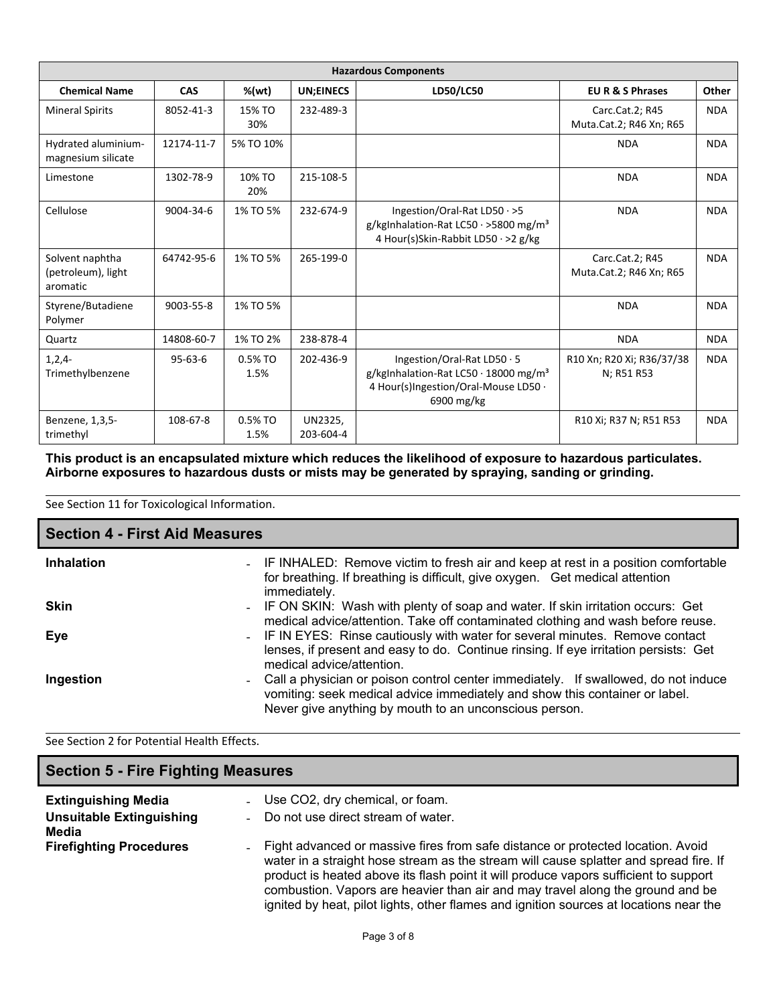| <b>Hazardous Components</b>                       |               |                   |                      |                                                                                                                                              |                                            |            |
|---------------------------------------------------|---------------|-------------------|----------------------|----------------------------------------------------------------------------------------------------------------------------------------------|--------------------------------------------|------------|
| <b>Chemical Name</b>                              | <b>CAS</b>    | %(wt)             | <b>UN;EINECS</b>     | LD50/LC50                                                                                                                                    | <b>EUR &amp; S Phrases</b>                 | Other      |
| <b>Mineral Spirits</b>                            | 8052-41-3     | 15% TO<br>30%     | 232-489-3            |                                                                                                                                              | Carc.Cat.2; R45<br>Muta.Cat.2; R46 Xn; R65 | <b>NDA</b> |
| Hydrated aluminium-<br>magnesium silicate         | 12174-11-7    | 5% TO 10%         |                      |                                                                                                                                              | <b>NDA</b>                                 | <b>NDA</b> |
| Limestone                                         | 1302-78-9     | 10% TO<br>20%     | 215-108-5            |                                                                                                                                              | <b>NDA</b>                                 | <b>NDA</b> |
| Cellulose                                         | 9004-34-6     | 1% TO 5%          | 232-674-9            | Ingestion/Oral-Rat LD50 $\cdot$ >5<br>g/kgInhalation-Rat LC50 · >5800 mg/m <sup>3</sup><br>4 Hour(s)Skin-Rabbit LD50 · >2 g/kg               | <b>NDA</b>                                 | <b>NDA</b> |
| Solvent naphtha<br>(petroleum), light<br>aromatic | 64742-95-6    | 1% TO 5%          | 265-199-0            |                                                                                                                                              | Carc.Cat.2; R45<br>Muta.Cat.2; R46 Xn; R65 | <b>NDA</b> |
| Styrene/Butadiene<br>Polymer                      | 9003-55-8     | 1% TO 5%          |                      |                                                                                                                                              | <b>NDA</b>                                 | <b>NDA</b> |
| Quartz                                            | 14808-60-7    | 1% TO 2%          | 238-878-4            |                                                                                                                                              | <b>NDA</b>                                 | <b>NDA</b> |
| $1,2,4-$<br>Trimethylbenzene                      | $95 - 63 - 6$ | 0.5% TO<br>1.5%   | 202-436-9            | Ingestion/Oral-Rat LD50 · 5<br>g/kgInhalation-Rat LC50 $\cdot$ 18000 mg/m <sup>3</sup><br>4 Hour(s)Ingestion/Oral-Mouse LD50 .<br>6900 mg/kg | R10 Xn; R20 Xi; R36/37/38<br>N; R51 R53    | <b>NDA</b> |
| Benzene, 1,3,5-<br>trimethyl                      | 108-67-8      | $0.5%$ TO<br>1.5% | UN2325,<br>203-604-4 |                                                                                                                                              | R10 Xi; R37 N; R51 R53                     | <b>NDA</b> |

**This product is an encapsulated mixture which reduces the likelihood of exposure to hazardous particulates. Airborne exposures to hazardous dusts or mists may be generated by spraying, sanding or grinding.**

See Section 11 for Toxicological Information.

| <b>Section 4 - First Aid Measures</b> |                                                                                                                                                                                                                             |  |  |  |
|---------------------------------------|-----------------------------------------------------------------------------------------------------------------------------------------------------------------------------------------------------------------------------|--|--|--|
| <b>Inhalation</b>                     | - IF INHALED: Remove victim to fresh air and keep at rest in a position comfortable<br>for breathing. If breathing is difficult, give oxygen. Get medical attention<br>immediately.                                         |  |  |  |
| <b>Skin</b>                           | - IF ON SKIN: Wash with plenty of soap and water. If skin irritation occurs: Get<br>medical advice/attention. Take off contaminated clothing and wash before reuse.                                                         |  |  |  |
| Eye                                   | - IF IN EYES: Rinse cautiously with water for several minutes. Remove contact<br>lenses, if present and easy to do. Continue rinsing. If eye irritation persists: Get<br>medical advice/attention.                          |  |  |  |
| Ingestion                             | Call a physician or poison control center immediately. If swallowed, do not induce<br>vomiting: seek medical advice immediately and show this container or label.<br>Never give anything by mouth to an unconscious person. |  |  |  |

See Section 2 for Potential Health Effects.

| <b>Section 5 - Fire Fighting Measures</b>                              |                                                                                                                                                                                                                                                                                                                                                                                                                                                                          |  |  |
|------------------------------------------------------------------------|--------------------------------------------------------------------------------------------------------------------------------------------------------------------------------------------------------------------------------------------------------------------------------------------------------------------------------------------------------------------------------------------------------------------------------------------------------------------------|--|--|
| <b>Extinguishing Media</b><br><b>Unsuitable Extinguishing</b><br>Media | - Use CO2, dry chemical, or foam.<br>Do not use direct stream of water.<br>$\sim$                                                                                                                                                                                                                                                                                                                                                                                        |  |  |
| <b>Firefighting Procedures</b>                                         | Fight advanced or massive fires from safe distance or protected location. Avoid<br>$\overline{\phantom{0}}$<br>water in a straight hose stream as the stream will cause splatter and spread fire. If<br>product is heated above its flash point it will produce vapors sufficient to support<br>combustion. Vapors are heavier than air and may travel along the ground and be<br>ignited by heat, pilot lights, other flames and ignition sources at locations near the |  |  |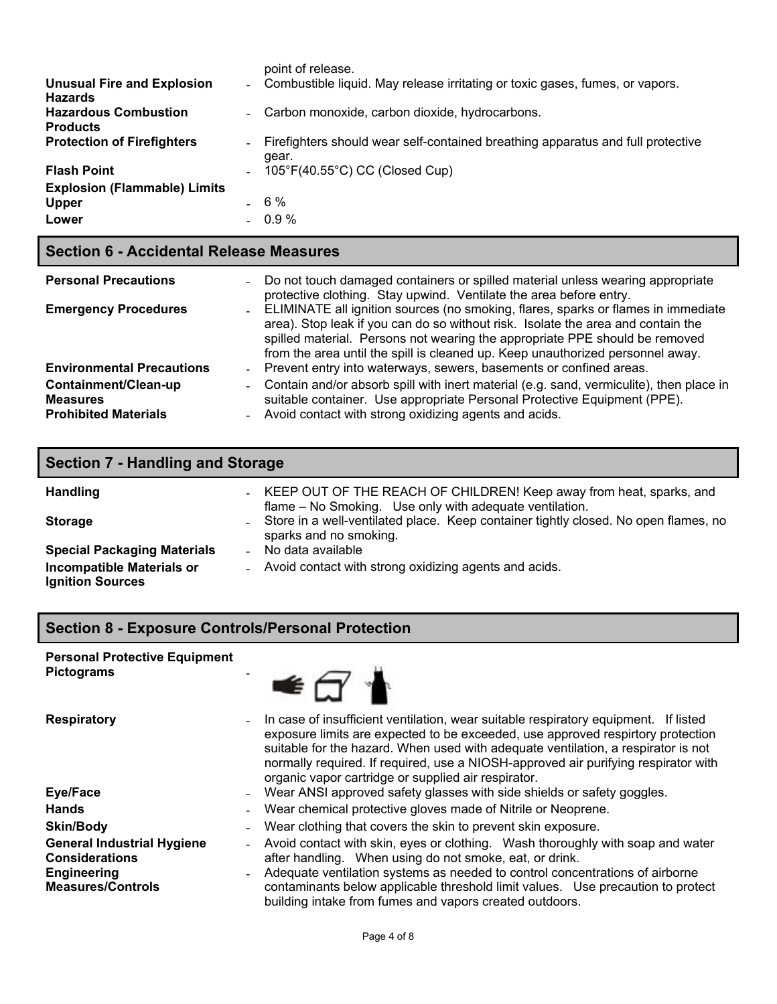|                                                     |                          | point of release.                                                                        |
|-----------------------------------------------------|--------------------------|------------------------------------------------------------------------------------------|
| <b>Unusual Fire and Explosion</b><br><b>Hazards</b> |                          | - Combustible liquid. May release irritating or toxic gases, fumes, or vapors.           |
| <b>Hazardous Combustion</b><br><b>Products</b>      |                          | - Carbon monoxide, carbon dioxide, hydrocarbons.                                         |
| <b>Protection of Firefighters</b>                   | $\overline{\phantom{a}}$ | Firefighters should wear self-contained breathing apparatus and full protective<br>qear. |
| <b>Flash Point</b>                                  | $\overline{\phantom{a}}$ | $105^{\circ}F(40.55^{\circ}C)$ CC (Closed Cup)                                           |
| <b>Explosion (Flammable) Limits</b>                 |                          |                                                                                          |
| <b>Upper</b>                                        |                          | 6 %                                                                                      |
| Lower                                               |                          | $0.9 \%$                                                                                 |

# **Section 6 - Accidental Release Measures**

| <b>Personal Precautions</b>                                            | - Do not touch damaged containers or spilled material unless wearing appropriate<br>protective clothing. Stay upwind. Ventilate the area before entry.                                                                                                                                                                                   |
|------------------------------------------------------------------------|------------------------------------------------------------------------------------------------------------------------------------------------------------------------------------------------------------------------------------------------------------------------------------------------------------------------------------------|
| <b>Emergency Procedures</b>                                            | - ELIMINATE all ignition sources (no smoking, flares, sparks or flames in immediate<br>area). Stop leak if you can do so without risk. Isolate the area and contain the<br>spilled material. Persons not wearing the appropriate PPE should be removed<br>from the area until the spill is cleaned up. Keep unauthorized personnel away. |
| <b>Environmental Precautions</b>                                       | - Prevent entry into waterways, sewers, basements or confined areas.                                                                                                                                                                                                                                                                     |
| Containment/Clean-up<br><b>Measures</b><br><b>Prohibited Materials</b> | - Contain and/or absorb spill with inert material (e.g. sand, vermiculite), then place in<br>suitable container. Use appropriate Personal Protective Equipment (PPE).<br>- Avoid contact with strong oxidizing agents and acids.                                                                                                         |

| <b>Section 7 - Handling and Storage</b>                     |                                                                                                                                  |  |  |
|-------------------------------------------------------------|----------------------------------------------------------------------------------------------------------------------------------|--|--|
| <b>Handling</b>                                             | - KEEP OUT OF THE REACH OF CHILDREN! Keep away from heat, sparks, and<br>flame - No Smoking. Use only with adequate ventilation. |  |  |
| <b>Storage</b>                                              | - Store in a well-ventilated place. Keep container tightly closed. No open flames, no<br>sparks and no smoking.                  |  |  |
| <b>Special Packaging Materials</b>                          | No data available                                                                                                                |  |  |
| <b>Incompatible Materials or</b><br><b>Ignition Sources</b> | - Avoid contact with strong oxidizing agents and acids.                                                                          |  |  |

# **Section 8 - Exposure Controls/Personal Protection**

#### **Personal Protective Equipment Pictograms** ‐



| <b>Respiratory</b>                                                                                           | $\overline{\phantom{0}}$ | In case of insufficient ventilation, wear suitable respiratory equipment. If listed<br>exposure limits are expected to be exceeded, use approved respirtory protection<br>suitable for the hazard. When used with adequate ventilation, a respirator is not<br>normally required. If required, use a NIOSH-approved air purifying respirator with<br>organic vapor cartridge or supplied air respirator. |
|--------------------------------------------------------------------------------------------------------------|--------------------------|----------------------------------------------------------------------------------------------------------------------------------------------------------------------------------------------------------------------------------------------------------------------------------------------------------------------------------------------------------------------------------------------------------|
| Eye/Face                                                                                                     | $\overline{\phantom{0}}$ | Wear ANSI approved safety glasses with side shields or safety goggles.                                                                                                                                                                                                                                                                                                                                   |
| <b>Hands</b>                                                                                                 | $\overline{\phantom{a}}$ | Wear chemical protective gloves made of Nitrile or Neoprene.                                                                                                                                                                                                                                                                                                                                             |
| <b>Skin/Body</b>                                                                                             | $\overline{\phantom{a}}$ | Wear clothing that covers the skin to prevent skin exposure.                                                                                                                                                                                                                                                                                                                                             |
| <b>General Industrial Hygiene</b><br><b>Considerations</b><br><b>Engineering</b><br><b>Measures/Controls</b> | $\overline{\phantom{a}}$ | Avoid contact with skin, eyes or clothing. Wash thoroughly with soap and water<br>after handling. When using do not smoke, eat, or drink.<br>Adequate ventilation systems as needed to control concentrations of airborne<br>contaminants below applicable threshold limit values. Use precaution to protect<br>building intake from fumes and vapors created outdoors.                                  |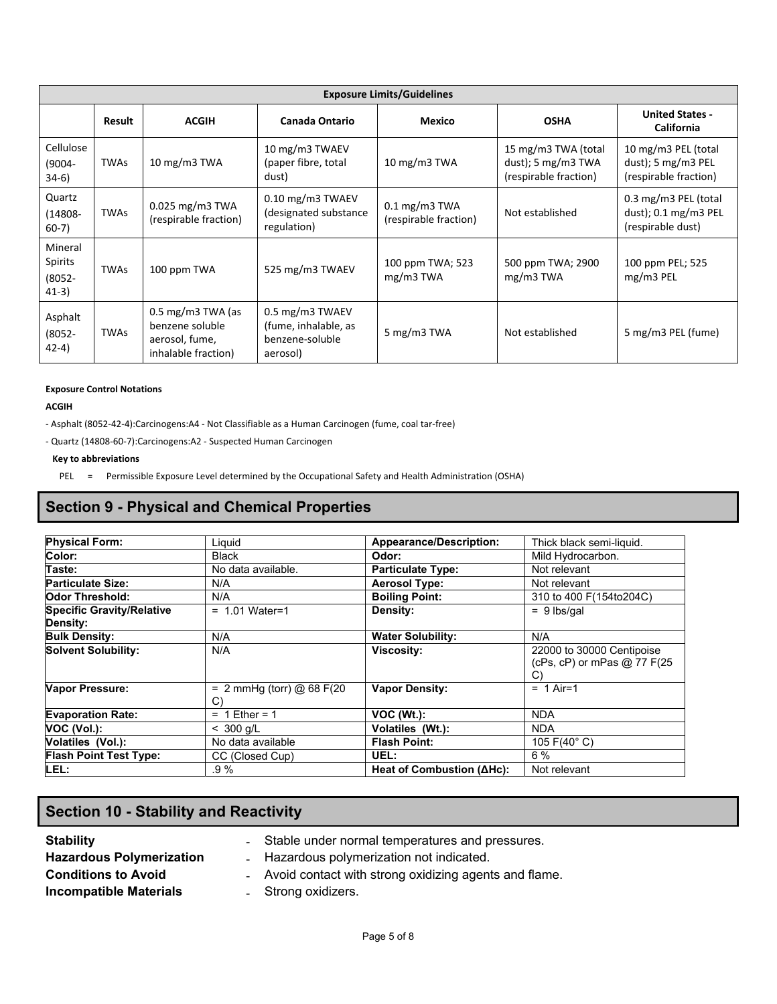| <b>Exposure Limits/Guidelines</b>          |             |                                                                                          |                                                                        |                                                   |                                                                      |                                                                              |  |
|--------------------------------------------|-------------|------------------------------------------------------------------------------------------|------------------------------------------------------------------------|---------------------------------------------------|----------------------------------------------------------------------|------------------------------------------------------------------------------|--|
|                                            | Result      | <b>ACGIH</b>                                                                             | Canada Ontario                                                         | <b>Mexico</b>                                     | <b>OSHA</b>                                                          | <b>United States -</b><br>California                                         |  |
| Cellulose<br>(9004-<br>$34-6)$             | <b>TWAs</b> | 10 $mg/m3$ TWA                                                                           | 10 mg/m3 TWAEV<br>(paper fibre, total<br>dust)                         | 10 $mg/m3$ TWA                                    | 15 mg/m3 TWA (total<br>dust); 5 $mg/m3$ TWA<br>(respirable fraction) | 10 mg/m3 PEL (total<br>$dust$ ; 5 mg/m3 PEL<br>(respirable fraction)         |  |
| Quartz<br>(14808-<br>$60-7)$               | <b>TWAs</b> | $0.025$ mg/m3 TWA<br>(respirable fraction)                                               | $0.10$ mg/m3 TWAEV<br>(designated substance<br>regulation)             | $0.1 \text{ mg/m}$ 3 TWA<br>(respirable fraction) | Not established                                                      | 0.3 mg/m3 PEL (total<br>dust); $0.1 \text{ mg/m}$ 3 PEL<br>(respirable dust) |  |
| Mineral<br>Spirits<br>$(8052 -$<br>$41-3)$ | <b>TWAs</b> | 100 ppm TWA                                                                              | 525 mg/m3 TWAEV                                                        | 100 ppm TWA; 523<br>$mg/m3$ TWA                   | 500 ppm TWA; 2900<br>$mg/m3$ TWA                                     | 100 ppm PEL; 525<br>mg/m3 PEL                                                |  |
| Asphalt<br>$(8052 -$<br>$(42-4)$           | <b>TWAs</b> | $0.5 \text{ mg/m}$ 3 TWA (as<br>benzene soluble<br>aerosol, fume,<br>inhalable fraction) | 0.5 mg/m3 TWAEV<br>(fume, inhalable, as<br>benzene-soluble<br>aerosol) | 5 mg/m3 TWA                                       | Not established                                                      | 5 mg/m3 PEL (fume)                                                           |  |

#### **Exposure Control Notations**

**ACGIH**

- ‐ Asphalt (8052‐42‐4):Carcinogens:A4 ‐ Not Classifiable as a Human Carcinogen (fume, coal tar‐free)
- ‐ Quartz (14808‐60‐7):Carcinogens:A2 ‐ Suspected Human Carcinogen

#### **Key to abbreviations**

PEL = Permissible Exposure Level determined by the Occupational Safety and Health Administration (OSHA)

# **Section 9 - Physical and Chemical Properties**

| <b>Physical Form:</b>            | Liauid                      | <b>Appearance/Description:</b> | Thick black semi-liquid.    |
|----------------------------------|-----------------------------|--------------------------------|-----------------------------|
| Color:                           | <b>Black</b>                | Odor:                          | Mild Hydrocarbon.           |
| Taste:                           | No data available.          | <b>Particulate Type:</b>       | Not relevant                |
| <b>Particulate Size:</b>         | N/A                         | <b>Aerosol Type:</b>           | Not relevant                |
| <b>Odor Threshold:</b>           | N/A                         | <b>Boiling Point:</b>          | 310 to 400 F(154to204C)     |
| <b>Specific Gravity/Relative</b> | $= 1.01$ Water=1            | Density:                       | $= 9$ lbs/gal               |
| Density:                         |                             |                                |                             |
| <b>Bulk Density:</b>             | N/A                         | <b>Water Solubility:</b>       | N/A                         |
| <b>Solvent Solubility:</b>       | N/A                         | <b>Viscosity:</b>              | 22000 to 30000 Centipoise   |
|                                  |                             |                                | (cPs, cP) or mPas @ 77 F(25 |
|                                  |                             |                                | $\mathcal{C}$               |
| <b>Vapor Pressure:</b>           | = $2$ mmHg (torr) @ 68 F(20 | <b>Vapor Density:</b>          | $= 1$ Air=1                 |
|                                  | C)                          |                                |                             |
| <b>Evaporation Rate:</b>         | $= 1$ Ether = 1             | $VOC (Wt.)$ :                  | <b>NDA</b>                  |
| VOC (Vol.):                      | $< 300$ g/L                 | Volatiles (Wt.):               | <b>NDA</b>                  |
| Volatiles (Vol.):                | No data available           | <b>Flash Point:</b>            | 105 F(40 $^{\circ}$ C)      |
| <b>Flash Point Test Type:</b>    | CC (Closed Cup)             | UEL:                           | $6\%$                       |
| LEL:                             | .9 %                        | Heat of Combustion (ΔHc):      | Not relevant                |

# **Section 10 - Stability and Reactivity**

- 
- 
- **Stability Stability EXECUTE:** Stable under normal temperatures and pressures. Hazardous Polymerization **Fig. 2016** - Hazardous polymerization not indicated.
- **Conditions to Avoid Exercise 20 Conditions to Avoid Contact with strong oxidizing agents and flame.**

**Incompatible Materials Example 2 C** Extremg oxidizers.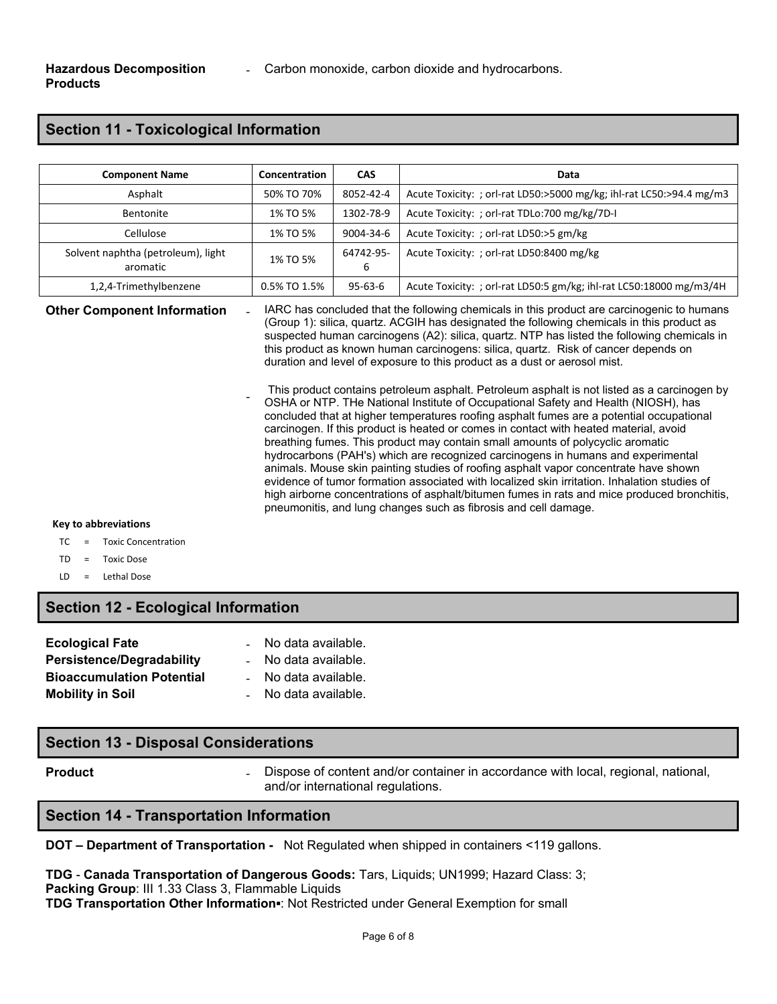# **Section 11 - Toxicological Information**

| <b>Component Name</b>                          | Concentration | <b>CAS</b>     | Data                                                                 |
|------------------------------------------------|---------------|----------------|----------------------------------------------------------------------|
| Asphalt                                        | 50% TO 70%    | 8052-42-4      | Acute Toxicity: ; orl-rat LD50:>5000 mg/kg; ihl-rat LC50:>94.4 mg/m3 |
| Bentonite                                      | 1% TO 5%      | 1302-78-9      | Acute Toxicity: ; orl-rat TDLo:700 mg/kg/7D-I                        |
| Cellulose                                      | 1% TO 5%      | 9004-34-6      | Acute Toxicity: ; orl-rat LD50:>5 gm/kg                              |
| Solvent naphtha (petroleum), light<br>aromatic | 1% TO 5%      | 64742-95-<br>b | Acute Toxicity: ; orl-rat LD50:8400 mg/kg                            |
| 1,2,4-Trimethylbenzene                         | 0.5% TO 1.5%  | $95-63-6$      | Acute Toxicity: ; orl-rat LD50:5 gm/kg; ihl-rat LC50:18000 mg/m3/4H  |

**Other Component Information** 

IARC has concluded that the following chemicals in this product are carcinogenic to humans (Group 1): silica, quartz. ACGIH has designated the following chemicals in this product as suspected human carcinogens (A2): silica, quartz. NTP has listed the following chemicals in this product as known human carcinogens: silica, quartz. Risk of cancer depends on duration and level of exposure to this product as a dust or aerosol mist.

This product contains petroleum asphalt. Petroleum asphalt is not listed as a carcinogen by OSHA or NTP. THe National Institute of Occupational Safety and Health (NIOSH), has concluded that at higher temperatures roofing asphalt fumes are a potential occupational carcinogen. If this product is heated or comes in contact with heated material, avoid breathing fumes. This product may contain small amounts of polycyclic aromatic hydrocarbons (PAH's) which are recognized carcinogens in humans and experimental animals. Mouse skin painting studies of roofing asphalt vapor concentrate have shown evidence of tumor formation associated with localized skin irritation. Inhalation studies of high airborne concentrations of asphalt/bitumen fumes in rats and mice produced bronchitis, pneumonitis, and lung changes such as fibrosis and cell damage.

#### **Key to abbreviations**

- TC = Toxic Concentration
- TD = Toxic Dose
- LD = Lethal Dose

### **Section 12 - Ecological Information**

| <b>Ecological Fate</b>           | - No data available. |
|----------------------------------|----------------------|
| <b>Persistence/Degradability</b> | - No data available. |
| <b>Bioaccumulation Potential</b> | - No data available. |
| <b>Mobility in Soil</b>          | No data available.   |

‐

### **Section 13 - Disposal Considerations**

**Product Example 20 Figure 1 Dispose of content and/or container in accordance with local, regional, national, in a straight 20 <b>Figure 20 C** and/or international regulations.

### **Section 14 - Transportation Information**

**DOT – Department of Transportation -** Not Regulated when shipped in containers <119 gallons.

**TDG** - **Canada Transportation of Dangerous Goods:** Tars, Liquids; UN1999; Hazard Class: 3; **Packing Group**: III 1.33 Class 3, Flammable Liquids **TDG Transportation Other Information▪**: Not Restricted under General Exemption for small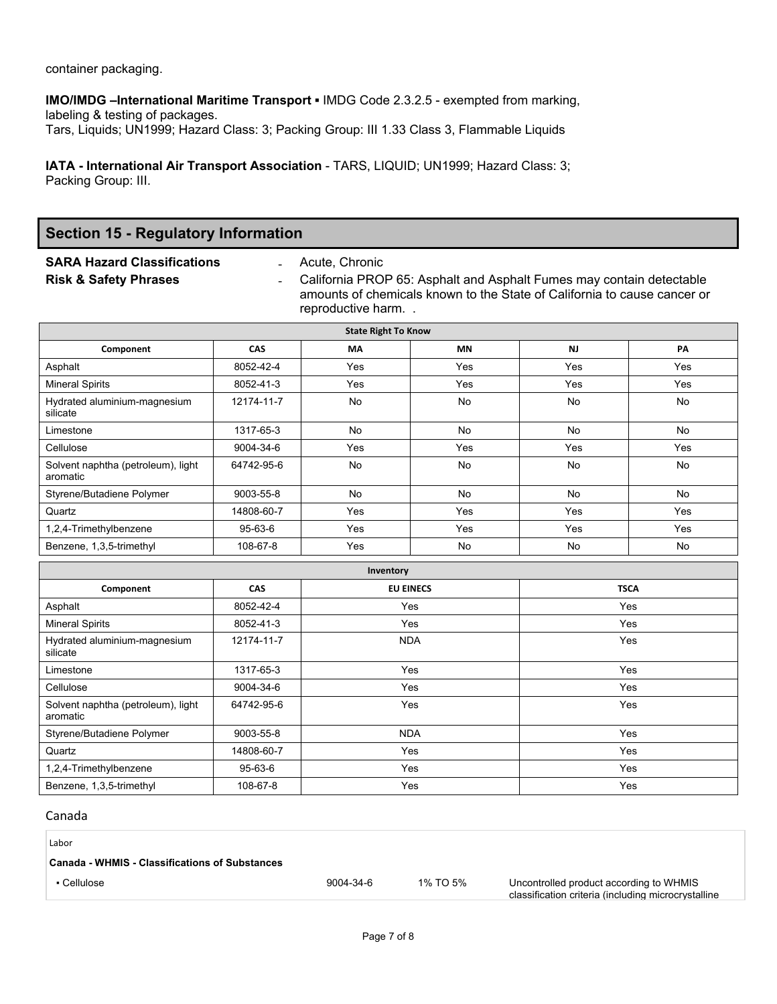container packaging.

**IMO/IMDG –International Maritime Transport ▪** IMDG Code 2.3.2.5 - exempted from marking, labeling & testing of packages.

Tars, Liquids; UN1999; Hazard Class: 3; Packing Group: III 1.33 Class 3, Flammable Liquids

**IATA - International Air Transport Association** - TARS, LIQUID; UN1999; Hazard Class: 3; Packing Group: III.

# **Section 15 - Regulatory Information**

**SARA Hazard Classifications** ‐ Acute, Chronic

California PROP 65: Asphalt and Asphalt Fumes may contain detectable amounts of chemicals known to the State of California to cause cancer or reproductive harm. .

| <b>State Right To Know</b>                     |            |           |            |           |     |  |
|------------------------------------------------|------------|-----------|------------|-----------|-----|--|
| Component                                      | <b>CAS</b> | <b>MA</b> | <b>MN</b>  | <b>NJ</b> | PA  |  |
| Asphalt                                        | 8052-42-4  | Yes       | Yes        | Yes       | Yes |  |
| <b>Mineral Spirits</b>                         | 8052-41-3  | Yes       | <b>Yes</b> | Yes       | Yes |  |
| Hydrated aluminium-magnesium<br>silicate       | 12174-11-7 | <b>No</b> | No         | No        | No  |  |
| Limestone                                      | 1317-65-3  | No        | No         | No        | No  |  |
| Cellulose                                      | 9004-34-6  | Yes       | Yes        | Yes       | Yes |  |
| Solvent naphtha (petroleum), light<br>aromatic | 64742-95-6 | <b>No</b> | No         | <b>No</b> | No  |  |
| Styrene/Butadiene Polymer                      | 9003-55-8  | <b>No</b> | No         | <b>No</b> | No  |  |
| Quartz                                         | 14808-60-7 | Yes       | Yes        | Yes       | Yes |  |
| 1,2,4-Trimethylbenzene                         | 95-63-6    | Yes       | Yes        | Yes       | Yes |  |
| Benzene, 1,3,5-trimethyl                       | 108-67-8   | Yes       | No         | No        | No  |  |

| Inventory                                      |            |                  |             |  |  |
|------------------------------------------------|------------|------------------|-------------|--|--|
| Component                                      | <b>CAS</b> | <b>EU EINECS</b> | <b>TSCA</b> |  |  |
| Asphalt                                        | 8052-42-4  | Yes              | Yes         |  |  |
| <b>Mineral Spirits</b>                         | 8052-41-3  | Yes              | Yes         |  |  |
| Hydrated aluminium-magnesium<br>silicate       | 12174-11-7 | <b>NDA</b>       | Yes         |  |  |
| Limestone                                      | 1317-65-3  | Yes              | Yes         |  |  |
| Cellulose                                      | 9004-34-6  | Yes              | Yes         |  |  |
| Solvent naphtha (petroleum), light<br>aromatic | 64742-95-6 | Yes              | Yes         |  |  |
| Styrene/Butadiene Polymer                      | 9003-55-8  | <b>NDA</b>       | Yes         |  |  |
| Quartz                                         | 14808-60-7 | Yes              | Yes         |  |  |
| 1,2,4-Trimethylbenzene                         | 95-63-6    | Yes              | Yes         |  |  |
| Benzene, 1,3,5-trimethyl                       | 108-67-8   | Yes              | <b>Yes</b>  |  |  |

#### Canada

| Labor                                          |           |          |                                                                                                |
|------------------------------------------------|-----------|----------|------------------------------------------------------------------------------------------------|
| Canada - WHMIS - Classifications of Substances |           |          |                                                                                                |
| • Cellulose                                    | 9004-34-6 | 1% TO 5% | Uncontrolled product according to WHMIS<br>classification criteria (including microcrystalline |